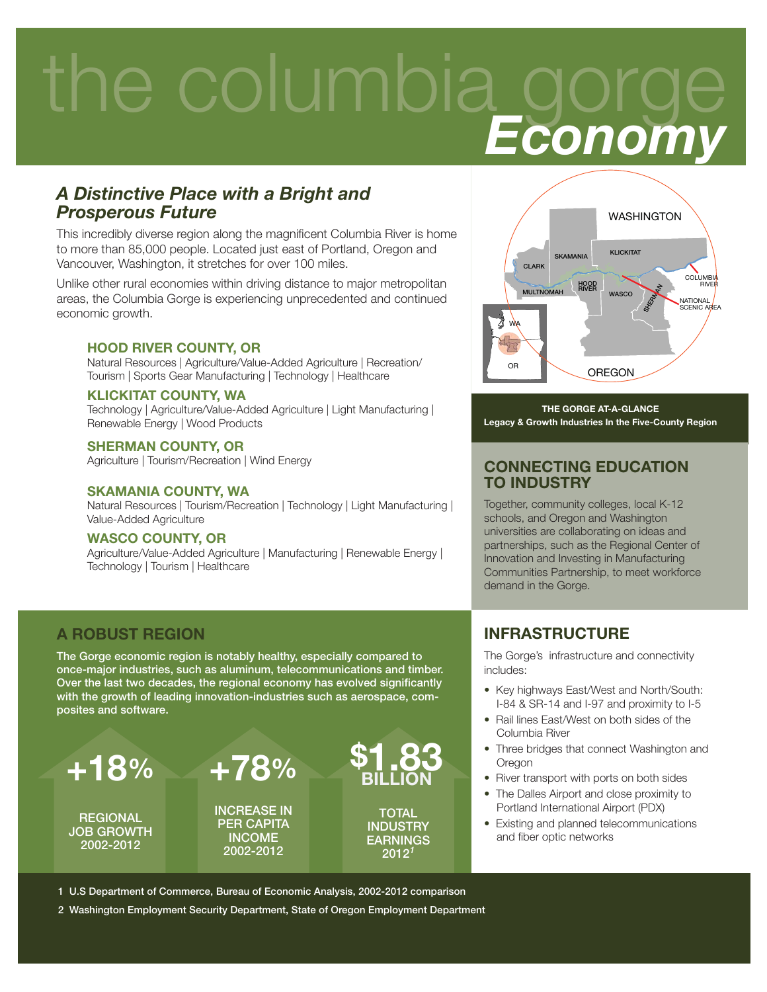## the columbia gorge  *Economy*

#### *A Distinctive Place with a Bright and Prosperous Future*

This incredibly diverse region along the magnificent Columbia River is home to more than 85,000 people. Located just east of Portland, Oregon and Vancouver, Washington, it stretches for over 100 miles.

Unlike other rural economies within driving distance to major metropolitan areas, the Columbia Gorge is experiencing unprecedented and continued economic growth.

#### HOOD RIVER COUNTY, OR

Natural Resources | Agriculture/Value-Added Agriculture | Recreation/ Tourism | Sports Gear Manufacturing | Technology | Healthcare

#### KLICKITAT COUNTY, WA

Technology | Agriculture/Value-Added Agriculture | Light Manufacturing | Renewable Energy | Wood Products

#### SHERMAN COUNTY, OR

Agriculture | Tourism/Recreation | Wind Energy

#### SKAMANIA COUNTY, WA

Natural Resources | Tourism/Recreation | Technology | Light Manufacturing | Value-Added Agriculture

#### WASCO COUNTY, OR

Agriculture/Value-Added Agriculture | Manufacturing | Renewable Energy | Technology | Tourism | Healthcare

#### A ROBUST REGION

The Gorge economic region is notably healthy, especially compared to once-major industries, such as aluminum, telecommunications and timber. Over the last two decades, the regional economy has evolved significantly with the growth of leading innovation-industries such as aerospace, composites and software.





THE GORGE AT-A-GLANCE Legacy & Growth Industries In the Five-County Region

#### CONNECTING EDUCATION TO INDUSTRY

Together, community colleges, local K-12 schools, and Oregon and Washington universities are collaborating on ideas and partnerships, such as the Regional Center of Innovation and Investing in Manufacturing Communities Partnership, to meet workforce demand in the Gorge.

#### INFRASTRUCTURE

The Gorge's infrastructure and connectivity includes:

- Key highways East/West and North/South: I-84 & SR-14 and I-97 and proximity to I-5
- Rail lines East/West on both sides of the Columbia River
- Three bridges that connect Washington and Oregon
- River transport with ports on both sides
- The Dalles Airport and close proximity to Portland International Airport (PDX)
- Existing and planned telecommunications and fiber optic networks

1 U.S Department of Commerce, Bureau of Economic Analysis, 2002-2012 comparison

2 Washington Employment Security Department, State of Oregon Employment Department